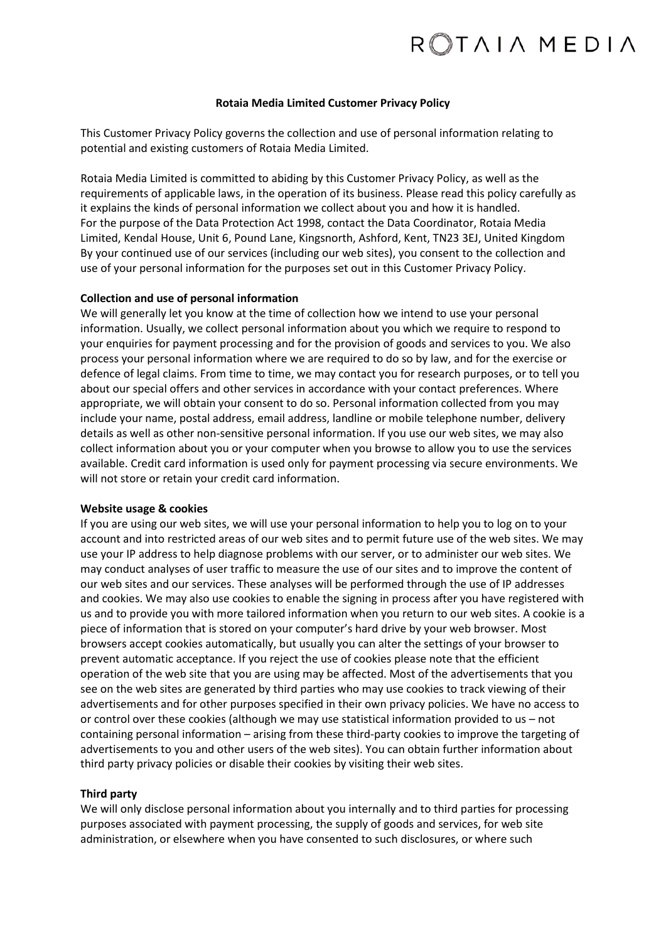#### **Rotaia Media Limited Customer Privacy Policy**

This Customer Privacy Policy governs the collection and use of personal information relating to potential and existing customers of Rotaia Media Limited.

Rotaia Media Limited is committed to abiding by this Customer Privacy Policy, as well as the requirements of applicable laws, in the operation of its business. Please read this policy carefully as it explains the kinds of personal information we collect about you and how it is handled. For the purpose of the Data Protection Act 1998, contact the Data Coordinator, Rotaia Media Limited, Kendal House, Unit 6, Pound Lane, Kingsnorth, Ashford, Kent, TN23 3EJ, United Kingdom By your continued use of our services (including our web sites), you consent to the collection and use of your personal information for the purposes set out in this Customer Privacy Policy.

## **Collection and use of personal information**

We will generally let you know at the time of collection how we intend to use your personal information. Usually, we collect personal information about you which we require to respond to your enquiries for payment processing and for the provision of goods and services to you. We also process your personal information where we are required to do so by law, and for the exercise or defence of legal claims. From time to time, we may contact you for research purposes, or to tell you about our special offers and other services in accordance with your contact preferences. Where appropriate, we will obtain your consent to do so. Personal information collected from you may include your name, postal address, email address, landline or mobile telephone number, delivery details as well as other non-sensitive personal information. If you use our web sites, we may also collect information about you or your computer when you browse to allow you to use the services available. Credit card information is used only for payment processing via secure environments. We will not store or retain your credit card information.

#### **Website usage & cookies**

If you are using our web sites, we will use your personal information to help you to log on to your account and into restricted areas of our web sites and to permit future use of the web sites. We may use your IP address to help diagnose problems with our server, or to administer our web sites. We may conduct analyses of user traffic to measure the use of our sites and to improve the content of our web sites and our services. These analyses will be performed through the use of IP addresses and cookies. We may also use cookies to enable the signing in process after you have registered with us and to provide you with more tailored information when you return to our web sites. A cookie is a piece of information that is stored on your computer's hard drive by your web browser. Most browsers accept cookies automatically, but usually you can alter the settings of your browser to prevent automatic acceptance. If you reject the use of cookies please note that the efficient operation of the web site that you are using may be affected. Most of the advertisements that you see on the web sites are generated by third parties who may use cookies to track viewing of their advertisements and for other purposes specified in their own privacy policies. We have no access to or control over these cookies (although we may use statistical information provided to us – not containing personal information – arising from these third-party cookies to improve the targeting of advertisements to you and other users of the web sites). You can obtain further information about third party privacy policies or disable their cookies by visiting their web sites.

# **Third party**

We will only disclose personal information about you internally and to third parties for processing purposes associated with payment processing, the supply of goods and services, for web site administration, or elsewhere when you have consented to such disclosures, or where such